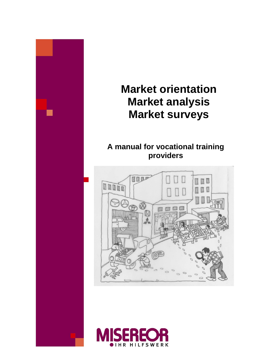

# **Market orientation Market analysis Market surveys**

# **A manual for vocational training providers**



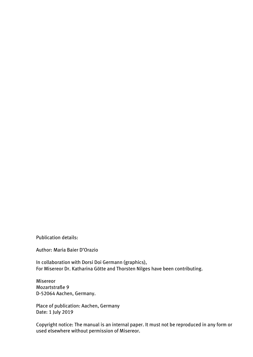Publication details:

Author: Maria Baier D'Orazio

In collaboration with Dorsi Doi Germann (graphics), For Misereor Dr. Katharina Götte and Thorsten Nilges have been contributing.

Misereor Mozartstraße 9 D-52064 Aachen, Germany.

Place of publication: Aachen, Germany Date: 1 July 2019

Copyright notice: The manual is an internal paper. It must not be reproduced in any form or used elsewhere without permission of Misereor.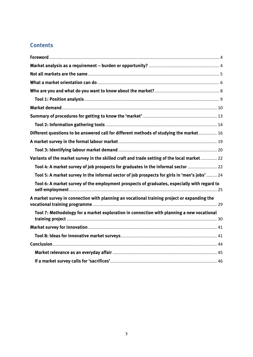# **Contents**

| Different questions to be answered call for different methods of studying the market 16       |  |
|-----------------------------------------------------------------------------------------------|--|
|                                                                                               |  |
|                                                                                               |  |
| Variants of the market survey in the skilled craft and trade setting of the local market 22   |  |
| Tool 4: A market survey of job prospects for graduates in the informal sector  22             |  |
| Tool 5: A market survey in the informal sector of job prospects for girls in 'men's jobs'  24 |  |
| Tool 6: A market survey of the employment prospects of graduates, especially with regard to   |  |
| A market survey in connection with planning an vocational training project or expanding the   |  |
| Tool 7: Methodology for a market exploration in connection with planning a new vocational     |  |
|                                                                                               |  |
|                                                                                               |  |
|                                                                                               |  |
|                                                                                               |  |
|                                                                                               |  |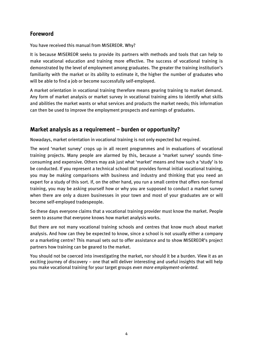# <span id="page-3-0"></span>**Foreword**

You have received this manual from MISEREOR. Why?

It is because MISEREOR seeks to provide its partners with methods and tools that can help to make vocational education and training more effective. The success of vocational training is demonstrated by the level of employment among graduates. The greater the training institution's familiarity with the market or its ability to estimate it, the higher the number of graduates who will be able to find a job or become successfully self-employed.

A market orientation in vocational training therefore means gearing training to market demand. Any form of market analysis or market survey in vocational training aims to identify what skills and abilities the market wants or what services and products the market needs; this information can then be used to improve the employment prospects and earnings of graduates.

# <span id="page-3-1"></span>**Market analysis as a requirement – burden or opportunity?**

Nowadays, market orientation in vocational training is not only expected but required.

The word 'market survey' crops up in all recent programmes and in evaluations of vocational training projects. Many people are alarmed by this, because a 'market survey' sounds timeconsuming and expensive. Others may ask just what 'market' means and how such a 'study' is to be conducted. If you represent a technical school that provides formal initial vocational training, you may be making comparisons with business and industry and thinking that you need an expert for a study of this sort. If, on the other hand, you run a small centre that offers non-formal training, you may be asking yourself how or why you are supposed to conduct a market survey when there are only a dozen businesses in your town and most of your graduates are or will become self-employed tradespeople.

So these days everyone claims that a vocational training provider must know the market. People seem to assume that everyone knows how market analysis works.

But there are not many vocational training schools and centres that know much about market analysis. And how can they be expected to know, since a school is not usually either a company or a marketing centre? This manual sets out to offer assistance and to show MISEREOR's project partners how training can be geared to the market.

<span id="page-3-2"></span>You should not be coerced into investigating the market, nor should it be a burden. View it as an exciting journey of discovery – one that will deliver interesting and useful insights that will help you make vocational training for your target groups *even more employment-oriented*.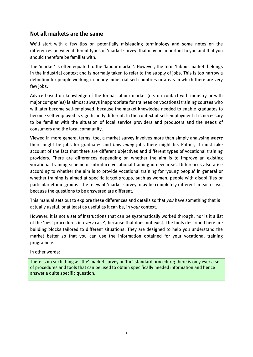# **Not all markets are the same**

We'll start with a few tips on potentially misleading terminology and some notes on the differences between different types of 'market survey' that may be important to you and that you should therefore be familiar with.

The 'market' is often equated to the 'labour market'. However, the term 'labour market' belongs in the industrial context and is normally taken to refer to the supply of jobs. This is too narrow a definition for people working in poorly industrialised countries or areas in which there are very few jobs.

Advice based on knowledge of the formal labour market (i.e. on contact with industry or with major companies) is almost always inappropriate for trainees on vocational training courses who will later become self-employed, because the market knowledge needed to enable graduates to become self-employed is significantly different. In the context of self-employment it is necessary to be familiar with the situation of local service providers and producers and the needs of consumers and the local community.

Viewed in more general terms, too, a market survey involves more than simply analysing *where* there might be jobs for graduates and *how many* jobs there might be. Rather, it must take account of the fact that there are different objectives and different types of vocational training providers. There are differences depending on whether the aim is to improve an existing vocational training scheme or introduce vocational training in new areas. Differences also arise according to whether the aim is to provide vocational training for 'young people' in general or whether training is aimed at specific target groups, such as women, people with disabilities or particular ethnic groups. The relevant 'market survey' may be completely different in each case, because the questions to be answered are different.

This manual sets out to explore these differences and details so that *you* have something that is actually useful, or at least as useful as it can be, in *your* context.

However, it is not a set of instructions that can be systematically worked through; nor is it a list of the 'best procedures in *every* case', because that does not exist. The tools described here are building blocks tailored to different situations. They are designed to help you understand the market better so that you can use the information obtained for your vocational training programme.

In other words:

There is no such thing as 'the' market survey or 'the' standard procedure; there is only ever a set of procedures and tools that can be used to obtain specifically needed information and hence answer a quite specific question.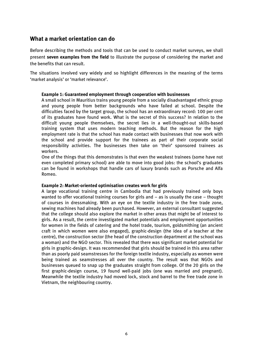# <span id="page-5-0"></span>**What a market orientation can do**

Before describing the methods and tools that can be used to conduct market surveys, we shall present **seven examples from the field** to illustrate the purpose of considering the market and the benefits that can result.

The situations involved vary widely and so highlight differences in the meaning of the terms 'market analysis' or 'market relevance'.

#### **Example 1: Guaranteed employment through cooperation with businesses**

A small school in Mauritius trains young people from a socially disadvantaged ethnic group and young people from better backgrounds who have failed at school. Despite the difficulties faced by the target group, the school has an extraordinary record: 100 per cent of its graduates have found work. What is the secret of this success? In relation to the difficult young people themselves, the secret lies in a well-thought-out skills-based training system that uses modern teaching methods. But the reason for the high employment rate is that the school has made contact with businesses that now work with the school and provide support for the trainees as part of their corporate social responsibility activities. The businesses then take on 'their' sponsored trainees as workers.

One of the things that this demonstrates is that even the weakest trainees (some have not even completed primary school) are able to move into good jobs: the school's graduates can be found in workshops that handle cars of luxury brands such as Porsche and Alfa Romeo.

#### **Example 2: Market-oriented optimisation creates work for girls**

A large vocational training centre in Cambodia that had previously trained only boys wanted to offer vocational training courses for girls and – as is usually the case – thought of courses in dressmaking. With an eye on the textile industry in the free trade zone, sewing machines had already been purchased. However, an external consultant suggested that the college should also explore the market in other areas that might be of interest to girls. As a result, the centre investigated market potentials and employment opportunities for women in the fields of catering and the hotel trade, tourism, goldsmithing (an ancient craft in which women were also engaged), graphic-design (the idea of a teacher at the centre), the construction sector (the head of the construction department at the school was a woman) and the NGO sector. This revealed that there was significant market potential for girls in graphic-design. It was recommended that girls should be trained in this area rather than as poorly paid seamstresses for the foreign textile industry, especially as women were being trained as seamstresses all over the country. The result was that NGOs and businesses queued to snap up the graduates straight from college. Of the 20 girls on the first graphic-design course, 19 found well-paid jobs (one was married and pregnant). Meanwhile the textile industry had moved lock, stock and barrel to the free trade zone in Vietnam, the neighbouring country.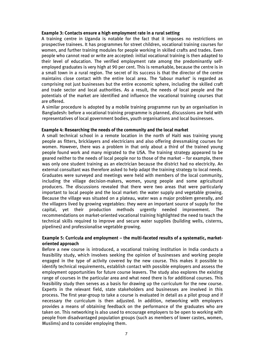#### **Example 3: Contacts ensure a high employment rate in a rural setting**

A training centre in Uganda is notable for the fact that it imposes no restrictions on prospective trainees. It has programmes for street children, vocational training courses for women, and further training modules for people working in skilled crafts and trades. Even people who cannot read or write are accepted: initial vocational training is then adapted to their level of education. The verified employment rate among the predominantly selfemployed graduates is very high at 90 per cent. This is remarkable, because the centre is in a small town in a rural region. The secret of its success is that the director of the centre maintains close contact with the entire local area. The 'labour market' is regarded as comprising not just businesses but the entire economic sphere, including the skilled craft and trade sector and local authorities. As a result, the needs of local people and the potentials of the market are identified and influence the vocational training courses that are offered.

A similar procedure is adopted by a mobile training programme run by an organisation in Bangladesh: before a vocational training programme is planned, discussions are held with representatives of local government bodies, youth organisations and local businesses.

#### **Example 4: Researching the needs of the community and the local market**

A small technical school in a remote location in the north of Haiti was training young people as fitters, bricklayers and electricians and also offering dressmaking courses for women. However, there was a problem in that only about a third of the trained young people found work and many migrated to the USA. The training strategy appeared to be geared neither to the needs of local people nor to those of the market – for example, there was only one student training as an electrician because the district had no electricity. An external consultant was therefore asked to help adapt the training strategy to local needs. Graduates were surveyed and meetings were held with members of the local community, including the village decision-makers, women, young people and some agricultural producers. The discussions revealed that there were two areas that were particularly important to local people and the local market: the water supply and vegetable growing. Because the village was situated on a plateau, water was a major problem generally, and the villagers lived by growing vegetables: they were an important source of supply for the capital, yet their production methods urgently needed improvement. The recommendations on market-oriented vocational training highlighted the need to teach the technical skills required to improve and secure water supplies (building wells, cisterns, pipelines) and professionalise vegetable growing.

#### **Example 5: Curricula and employment – the multi-faceted results of a systematic, marketoriented approach**

Before a new course is introduced, a vocational training institution in India conducts a feasibility study, which involves seeking the opinion of businesses and working people engaged in the type of activity covered by the new course. This makes it possible to identify technical requirements, establish contact with possible employers and assess the employment opportunities for future course leavers. The study also explores the existing range of courses in the particular area and what need there is for additional courses. This feasibility study then serves as a basis for drawing up the curriculum for the new course. Experts in the relevant field, state stakeholders and businesses are involved in this process. The first year-group to take a course is evaluated in detail as a pilot group and if necessary the curriculum is then adjusted. In addition, networking with employers provides a means of obtaining feedback on the performance of the graduates who are taken on. This networking is also used to encourage employers to be open to working with people from disadvantaged population groups (such as members of lower castes, women, Muslims) and to consider employing them.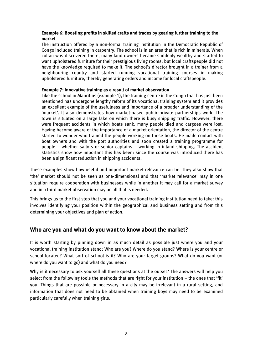#### **Example 6: Boosting profits in skilled crafts and trades by gearing further training to the market**

The instruction offered by a non-formal training institution in the Democratic Republic of Congo included training in carpentry. The school is in an area that is rich in minerals. When coltan was discovered there, many land owners became suddenly wealthy and started to want upholstered furniture for their prestigious living rooms, but local craftspeople did not have the knowledge required to make it. The school's director brought in a trainer from a neighbouring country and started running vocational training courses in making upholstered furniture, thereby generating orders and income for local craftspeople.

#### **Example 7: Innovative training as a result of market observation**

Like the school in Mauritius (example 1), the training centre in the Congo that has just been mentioned has undergone lengthy reform of its vocational training system and it provides an excellent example of the usefulness and importance of a broader understanding of the 'market'. It also demonstrates how market-based public-private partnerships work. The town is situated on a large lake on which there is busy shipping traffic. However, there were frequent accidents in which boats sank, many people died and cargoes were lost. Having become aware of the importance of a market orientation, the director of the centre started to wonder who trained the people working on these boats. He made contact with boat owners and with the port authorities and soon created a training programme for people – whether sailors or senior captains – working in inland shipping. The accident statistics show how important this has been: since the course was introduced there has been a significant reduction in shipping accidents.

These examples show how useful and important market relevance can be. They also show that 'the' market should not be seen as one-dimensional and that 'market relevance' may in one situation require cooperation with businesses while in another it may call for a market survey and in a third market observation may be all that is needed.

This brings us to the first step that you and your vocational training institution need to take: this involves identifying your position within the geographical and business setting and from this determining your objectives and plan of action.

# <span id="page-7-0"></span>**Who are you and what do you want to know about the market?**

It is worth starting by pinning down in as much detail as possible just where you and your vocational training institution stand: Who are you? Where do you stand? Where is your centre or school located? What sort of school is it? Who are your target groups? What do you want (or where do you want to go) and what do you need?

Why is it necessary to ask yourself all these questions at the outset? The answers will help you select from the following tools the methods that are right for your institution – the ones that 'fit' you. Things that are possible or necessary in a city may be irrelevant in a rural setting, and information that does not need to be obtained when training boys may need to be examined particularly carefully when training girls.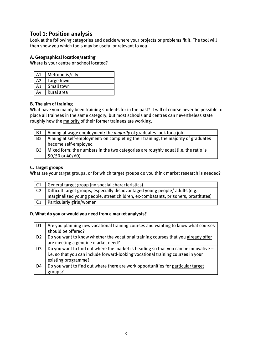# <span id="page-8-0"></span>**Tool 1: Position analysis**

Look at the following categories and decide where your projects or problems fit it. The tool will then show you which tools may be useful or relevant to you.

#### **A. Geographical location/setting**

Where is your centre or school located?

| Α1 | Metropolis/city |
|----|-----------------|
| A2 | Large town      |
| АЗ | Small town      |
| A4 | Rural area      |

#### **B. The aim of training**

What have you mainly been training students for in the past? It will of course never be possible to place all trainees in the same category, but most schools and centres can nevertheless state roughly how the majority of their former trainees are working.

| <b>B1</b> | Aiming at wage employment: the <i>majority</i> of graduates look for a job         |  |  |
|-----------|------------------------------------------------------------------------------------|--|--|
| <b>B2</b> | Aiming at self-employment: on completing their training, the majority of graduates |  |  |
|           | become self-employed                                                               |  |  |
| B3        | Mixed form: the numbers in the two categories are roughly equal (i.e. the ratio is |  |  |
|           | 50/50 or 40/60)                                                                    |  |  |

#### **C. Target groups**

What are your target groups, or for which target groups do you think market research is needed?

| General target group (no special characteristics)                                  |
|------------------------------------------------------------------------------------|
| Difficult target groups, especially disadvantaged young people/ adults (e.g.       |
| marginalised young people, street children, ex-combatants, prisoners, prostitutes) |
| Particularly girls/women                                                           |
|                                                                                    |

#### **D. What do you or would you need from a market analysis?**

| D <sub>1</sub> | Are you planning new vocational training courses and wanting to know what courses<br>should be offered?                                                                                        |
|----------------|------------------------------------------------------------------------------------------------------------------------------------------------------------------------------------------------|
| D <sub>2</sub> | Do you want to know whether the vocational training courses that you already offer<br>are meeting a genuine market need?                                                                       |
| D3             | Do you want to find out where the market is heading so that you can be innovative -<br>i.e. so that you can include forward-looking vocational training courses in your<br>existing programme? |
| D4             | Do you want to find out where there are work opportunities for particular target<br>groups?                                                                                                    |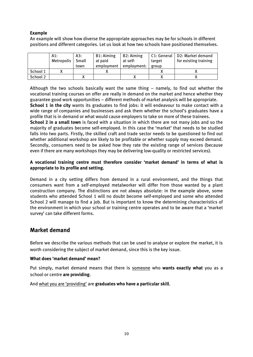### **Example**

An example will show how diverse the appropriate approaches may be for schools in different positions and different categories. Let us look at how two schools have positioned themselves.

|          | A1:<br>Metropolis | A3:<br>Small | B1: Aiming<br>at paid | <b>B2: Aiming</b><br>at self- | target | C1: General   D2: Market demand<br>for existing training |
|----------|-------------------|--------------|-----------------------|-------------------------------|--------|----------------------------------------------------------|
|          |                   | town         | employment            | employment:                   | group  |                                                          |
| School 1 |                   |              |                       |                               |        |                                                          |
| School 2 |                   |              |                       |                               |        |                                                          |

Although the two schools basically want the same thing – namely, to find out whether the vocational training courses on offer are really in demand on the market and hence whether they guarantee good work opportunities – different methods of market analysis will be appropriate. **School 1 in the city** wants its graduates to find jobs: it will endeavour to make contact with a wide range of companies and businesses and ask them whether the school's graduates have a profile that is in demand or what would cause employers to take on more of these trainees.

**School 2 in a small town** is faced with a situation in which there are not many jobs and so the majority of graduates become self-employed. In this case the 'market' that needs to be studied falls into two parts. Firstly, the skilled craft and trade sector needs to be questioned to find out whether additional workshop are likely to be profitable or whether supply may exceed demand. Secondly, consumers need to be asked how they rate the existing range of services (because even if there are many workshops they may be delivering low-quality or restricted services).

#### **A vocational training centre must therefore consider 'market demand' in terms of what is appropriate to its profile and setting.**

Demand in a city setting differs from demand in a rural environment, and the things that consumers want from a self-employed metalworker will differ from those wanted by a plant construction company. The distinctions are not always absolute: in the example above, some students who attended School 1 will no doubt become self-employed and some who attended School 2 will manage to find a job. But is important to know the determining characteristics of the environment in which your school or training centre operates and to be aware that a 'market survey' can take different forms.

# <span id="page-9-0"></span>**Market demand**

Before we describe the various methods that can be used to analyse or explore the market, it is worth considering the subject of market demand, since this is the key issue.

### **What does 'market demand' mean?**

Put simply, market demand means that there is someone who **wants exactly what** you as a school or centre **are providing**.

And what you are 'providing' are **graduates who have a particular skill**.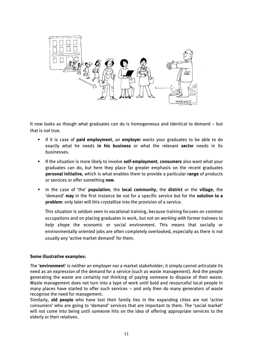

It now looks as though what graduates can do is homogeneous and identical to demand – but that is not true.

- If it is case of **paid employment**, an **employer** wants your graduates to be able to do exactly what he needs **in his business** or what the relevant **sector** needs in its businesses.
- If the situation is more likely to involve **self-employment**, **consumers** also want what your graduates can do, but here they place far greater emphasis on the recent graduates **personal initiative**, which is what enables them to provide a particular **range** of products or services or offer something **new**.
- In the case of 'the' **population**, the **local community**, the **district** or the **village**, the 'demand' **may** in the first instance be not for a specific service but for the **solution to a problem**: only later will this crystallise into the provision of a service.

This situation is seldom seen in vocational training, because training focuses on common occupations and on placing graduates in work, but not on *working with* former trainees to *help shape* the economic or social environment. This means that socially or environmentally oriented jobs are often completely overlooked, especially as there is not usually any 'active market demand' for them.

#### **Some illustrative examples:**

The '**environment**' is neither an employer nor a market stakeholder; it simply cannot articulate its need as an expression of the demand for a service (such as waste management). And the people generating the waste are certainly not thinking of paying someone to dispose of their waste. Waste management does not turn into a type of work until bold and resourceful local people in many places have started to offer such services – and only then do many generators of waste recognise the need for management.

Similarly, **old people** who have lost their family ties in the expanding cities are not 'active consumers' who are going to 'demand' services that are important to them. The 'social market' will not come into being until someone hits on the idea of offering appropriate services to the elderly or their relatives.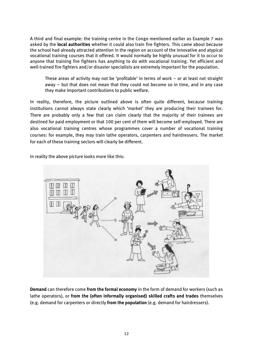A third and final example: the training centre in the Congo mentioned earlier as Example 7 was asked by the **local authorities** whether it could also train fire fighters. This came about because the school had already attracted attention in the region on account of the innovative and atypical vocational training courses that it offered. It would normally be highly unusual for it to occur to anyone that training fire fighters has anything to do with vocational training. Yet efficient and well-trained fire fighters and/or disaster specialists are extremely important for the population.

These areas of activity may not be 'profitable' in terms of work – or at least not straight away – but that does not mean that they could not become so in time, and in any case they make important contributions to public welfare.

In reality, therefore, the picture outlined above is often quite different, because training institutions cannot always state clearly which 'market' they are producing their trainees for. There are probably only a few that can claim clearly that the majority of their trainees are destined for paid employment or that 100 per cent of them will become self-employed. There are also vocational training centres whose programmes cover a number of vocational training courses: for example, they may train lathe operators, carpenters and hairdressers. The market for each of these training sectors will clearly be different.

In reality the above picture looks more like this:



**Demand** can therefore come **from the formal economy** in the form of demand for workers (such as lathe operators), or **from the (often informally organised) skilled crafts and trades** themselves (e.g. demand for carpenters or directly **from the population** (e.g. demand for hairdressers).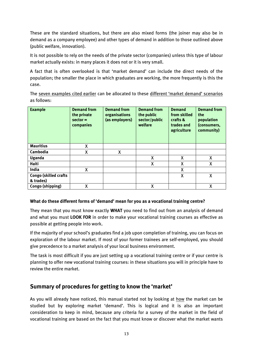These are the standard situations, but there are also mixed forms (the joiner may also be in demand as a company employee) and other types of demand in addition to those outlined above (public welfare, innovation).

It is not possible to rely on the needs of the private sector (companies) unless this type of labour market actually exists: in many places it does not or it is very small.

A fact that is often overlooked is that 'market demand' can include the direct needs of the population; the smaller the place in which graduates are working, the more frequently is this the case.

The seven examples cited earlier can be allocated to these different 'market demand' scenarios as follows:

| <b>Example</b>               | <b>Demand from</b><br>the private<br>$sector =$<br>companies | <b>Demand from</b><br>organisations<br>(as employers) | <b>Demand from</b><br>the public<br>sector/public<br>welfare | <b>Demand</b><br>from skilled<br>crafts &<br>trades and<br>agriculture | <b>Demand from</b><br>the<br>population<br>(consumers,<br>community) |
|------------------------------|--------------------------------------------------------------|-------------------------------------------------------|--------------------------------------------------------------|------------------------------------------------------------------------|----------------------------------------------------------------------|
| <b>Mauritius</b>             | X                                                            |                                                       |                                                              |                                                                        |                                                                      |
| Cambodia                     | X                                                            | X                                                     |                                                              |                                                                        |                                                                      |
| <b>Uganda</b>                |                                                              |                                                       | X                                                            | X                                                                      | X                                                                    |
| <b>Haiti</b>                 |                                                              |                                                       | X                                                            | X                                                                      | X                                                                    |
| India                        | X                                                            |                                                       |                                                              | χ                                                                      |                                                                      |
| <b>Congo (skilled crafts</b> |                                                              |                                                       |                                                              | X                                                                      | χ                                                                    |
| & trades)                    |                                                              |                                                       |                                                              |                                                                        |                                                                      |
| Congo (shipping)             | X                                                            |                                                       | X                                                            |                                                                        | X                                                                    |

### **What do these different forms of 'demand' mean for you as a vocational training centre?**

They mean that you must know exactly **WHAT** you need to find out from an analysis of demand and what you must **LOOK FOR** in order to make your vocational training courses as effective as possible at getting people into work.

If the majority of your school's graduates find a job upon completion of training, you can focus on exploration of the labour market. If most of your former trainees are self-employed, you should give precedence to a market analysis of your local business environment.

The task is most difficult if you are just setting up a vocational training centre or if your centre is planning to offer new vocational training courses: in these situations you will in principle have to review the entire market.

# <span id="page-12-0"></span>**Summary of procedures for getting to know the 'market'**

As you will already have noticed, this manual started not by looking at how the market can be studied but by exploring market 'demand'. This is logical and it is also an important consideration to keep in mind, because any criteria for a survey of the market in the field of vocational training are based on the fact that you must know or discover what the market wants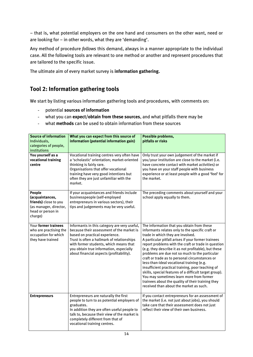– that is, what potential employers on the one hand and consumers on the other want, need or are looking for – in other words, what they are 'demanding'.

Any method of procedure *follows* this demand, always in a manner appropriate to the individual case. All the following tools are relevant to one method or another and represent procedures that are tailored to the specific issue.

The ultimate aim of every market survey is **information gathering.**

# <span id="page-13-0"></span>**Tool 2: Information gathering tools**

We start by listing various information gathering tools and procedures, with comments on:

- potential **sources of information**
- what you can **expect/obtain from these sources**, and what pitfalls there may be
- what **methods** can be used to obtain information from these sources

| <b>Source of information</b><br>Individuals,<br>categories of people,<br>institutions                        | What you can expect from this source of<br>information (potential information gain)                                                                                                                                                                                                                        | Possible problems,<br>pitfalls or risks                                                                                                                                                                                                                                                                                                                                                                                                                                                                                                                                                                                                                                                                               |
|--------------------------------------------------------------------------------------------------------------|------------------------------------------------------------------------------------------------------------------------------------------------------------------------------------------------------------------------------------------------------------------------------------------------------------|-----------------------------------------------------------------------------------------------------------------------------------------------------------------------------------------------------------------------------------------------------------------------------------------------------------------------------------------------------------------------------------------------------------------------------------------------------------------------------------------------------------------------------------------------------------------------------------------------------------------------------------------------------------------------------------------------------------------------|
| You yourself as a<br>vocational training<br>centre                                                           | Vocational training centres very often have<br>a 'scholastic' orientation; market-oriented<br>thinking is fairly rare.<br>Organisations that offer vocational<br>training have very good intentions but<br>often they are just unfamiliar with the<br>market.                                              | Only trust your own judgement of the market if<br>you/your institution are close to the market (i.e.<br>have concrete contact with market activities) or<br>you have on your staff people with business<br>experience or at least people with a good 'feel' for<br>the market.                                                                                                                                                                                                                                                                                                                                                                                                                                        |
| People<br>(acquaintances,<br>friends) close to you<br>(as manager, director,<br>head or person in<br>charge) | If your acquaintances and friends include<br>businesspeople (self-employed<br>entrepreneurs in various sectors), their<br>tips and judgements may be very useful.                                                                                                                                          | The preceding comments about yourself and your<br>school apply equally to them.                                                                                                                                                                                                                                                                                                                                                                                                                                                                                                                                                                                                                                       |
| Your former trainees<br>who are practising the<br>occupation for which<br>they have trained                  | Informants in this category are very useful,<br>because their assessment of the market is<br>based on practical experience.<br>Trust is often a hallmark of relationships<br>with former students, which means that<br>you obtain true information, especially<br>about financial aspects (profitability). | The information that you obtain from these<br>informants relates only to the specific craft or<br>trade in which they are involved.<br>A particular pitfall arises if your former trainees<br>report problems with the craft or trade in question<br>(e.g. they describe it as not profitable), but these<br>problems are due not so much to the particular<br>craft or trade as to personal circumstances or<br>less-than-ideal vocational training (e.g.<br>insufficient practical training, poor teaching of<br>skills, special features of a difficult target group).<br>You may sometimes learn more from former<br>trainees about the quality of their training they<br>received than about the market as such. |
| <b>Entrepreneurs</b>                                                                                         | Entrepreneurs are naturally the first<br>people to turn to as potential employers of<br>graduates.<br>In addition they are often useful people to<br>talk to, because their view of the market is<br>completely different from that of<br>vocational training centres.                                     | If you contact entrepreneurs for an assessment of<br>the market (i.e. not just about jobs), you should<br>take care that their assessment does not just<br>reflect their view of their own business.                                                                                                                                                                                                                                                                                                                                                                                                                                                                                                                  |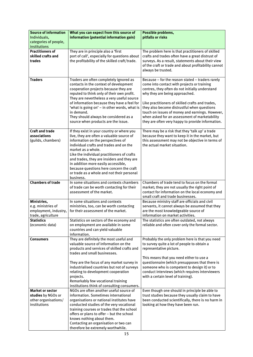| <b>Source of information</b><br>Individuals,                                          | What you can expect from this source of<br>information (potential information gain)                                                                                                                                                                                                                                                                                                                                                       | Possible problems,<br>pitfalls or risks                                                                                                                                                                                                                                                                                                                                                                                                          |
|---------------------------------------------------------------------------------------|-------------------------------------------------------------------------------------------------------------------------------------------------------------------------------------------------------------------------------------------------------------------------------------------------------------------------------------------------------------------------------------------------------------------------------------------|--------------------------------------------------------------------------------------------------------------------------------------------------------------------------------------------------------------------------------------------------------------------------------------------------------------------------------------------------------------------------------------------------------------------------------------------------|
| categories of people,                                                                 |                                                                                                                                                                                                                                                                                                                                                                                                                                           |                                                                                                                                                                                                                                                                                                                                                                                                                                                  |
| institutions                                                                          |                                                                                                                                                                                                                                                                                                                                                                                                                                           |                                                                                                                                                                                                                                                                                                                                                                                                                                                  |
| <b>Practitioners of</b><br>skilled crafts and<br>trades                               | They are in principle also a 'first<br>port of call', especially for questions about<br>the profitability of the skilled craft/trade.                                                                                                                                                                                                                                                                                                     | The problem here is that practitioners of skilled<br>crafts and trades often have a great distrust of<br>surveys. As a result, statements about their view<br>of the craft or trade and about profitability cannot<br>always be trusted.                                                                                                                                                                                                         |
| <b>Traders</b>                                                                        | Traders are often completely ignored as<br>contacts in the context of development<br>cooperation projects because they are<br>reputed to think only of their own profit.<br>They are nevertheless a very useful source<br>of information because they have a feel for<br>'what is going on' - in other words, what is<br>in demand.<br>They should always be considered as a<br>source when products are the issue.                       | Because - for the reason stated - traders rarely<br>come into contact with projects or training<br>centres, they often do not initially understand<br>why they are being approached.<br>Like practitioners of skilled crafts and trades,<br>they also become distrustful when questions<br>touch on issues of money and earnings. However,<br>when asked for an assessment of marketability<br>they are often very happy to provide information. |
| <b>Craft and trade</b><br>associations<br>(guilds, chambers)                          | If they exist in your country or where you<br>live, they are often a valuable source of<br>information on the perspectives of<br>individual crafts and trades and on the<br>market as a whole.<br>Like the individual practitioners of crafts<br>and trades, they are insiders and they are<br>in addition more easily accessible,<br>because questions here concern the craft<br>or trade as a whole and not their personal<br>business. | There may be a risk that they 'talk up' a trade<br>because they want to keep it in the market, but<br>this assessment may not be objective in terms of<br>the actual market situation.                                                                                                                                                                                                                                                           |
| <b>Chambers of trade</b>                                                              | In some situations and contexts chambers<br>of trade can be worth contacting for their<br>assessment of the market.                                                                                                                                                                                                                                                                                                                       | Chambers of trade tend to focus on the formal<br>market; they are not usually the right point of<br>contact for information on the local economy and<br>small craft and trade businesses.                                                                                                                                                                                                                                                        |
| Ministries,                                                                           | In some situations and contexts                                                                                                                                                                                                                                                                                                                                                                                                           | Because ministry staff are officials and civil                                                                                                                                                                                                                                                                                                                                                                                                   |
| e.g. ministries of                                                                    | ministries, too, can be worth contacting                                                                                                                                                                                                                                                                                                                                                                                                  | servants, it cannot always be assumed that they                                                                                                                                                                                                                                                                                                                                                                                                  |
| employment, industry,                                                                 | for their assessment of the market.                                                                                                                                                                                                                                                                                                                                                                                                       | are the most knowledgeable source of                                                                                                                                                                                                                                                                                                                                                                                                             |
| trade, agriculture                                                                    |                                                                                                                                                                                                                                                                                                                                                                                                                                           | information on market activities.                                                                                                                                                                                                                                                                                                                                                                                                                |
| Statistics<br>(economic data)                                                         | Statistics on sectors of the economy and<br>on employment are available in some<br>countries and can yield valuable<br>information.                                                                                                                                                                                                                                                                                                       | The statistics are often outdated, not always<br>reliable and often cover only the formal sector.                                                                                                                                                                                                                                                                                                                                                |
| Consumers                                                                             | They are definitely the most useful and<br>valuable source of information on the<br>products and services of skilled crafts and<br>trades and small businesses.<br>They are the focus of any market survey in<br>industrialised countries but not of surveys<br>relating to development cooperation                                                                                                                                       | Probably the only problem here is that you need<br>to survey quite a lot of people to obtain a<br>representative picture.<br>This means that you need either to use a<br>questionnaire (which presupposes that there is<br>someone who is competent to design it) or to<br>conduct interviews (which requires interviewers                                                                                                                       |
|                                                                                       | projects.<br>Remarkably few vocational training<br>institutions think of consulting consumers.                                                                                                                                                                                                                                                                                                                                            | with a certain level of training).                                                                                                                                                                                                                                                                                                                                                                                                               |
| <b>Market or sector</b><br>studies by NGOs or<br>other organisations/<br>institutions | NGOs are often another useful source of<br>information. Sometimes international<br>organisations or national institutes have<br>conducted studies of the very vocational<br>training courses or trades that the school<br>offers or plans to offer - but the school<br>knows nothing about them.<br>Contacting an organisation or two can<br>therefore be extremely worthwhile.                                                           | Even though one should in principle be able to<br>trust studies because they usually claim to have<br>been conducted scientifically, there is no harm in<br>looking at how they have been run.                                                                                                                                                                                                                                                   |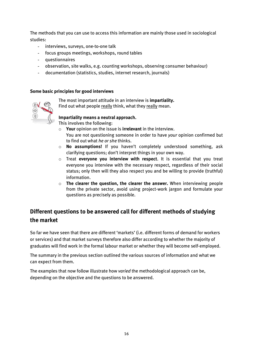The methods that you can use to access this information are mainly those used in sociological studies:

- interviews, surveys, one-to-one talk
- focus groups meetings, workshops, round tables
- questionnaires
- observation, site walks, e.g. counting workshops, observing consumer behaviour)
- documentation (statistics, studies, internet research, journals)

#### **Some basic principles for good interviews**



The most important attitude in an interview is **impartiality.**

Find out what people really think, what they really mean.

#### **Impartiality means a neutral approach.**

This involves the following:

- o **Your** opinion on the issue is **irrelevant** in the interview. You are not questioning someone in order to have *your* opinion confirmed but to find out what *he or she* thinks.
- o **No assumptions!** If you haven't completely understood something, ask clarifying questions; don't interpret things in your own way.
- o Treat **everyone you interview with respect**. It is essential that you treat everyone you interview with the necessary respect, regardless of their social status; only then will they also respect you and be willing to provide (truthful) information.
- o **The clearer the question, the clearer the answer.** When interviewing people from the private sector, avoid using project-work jargon and formulate your questions as precisely as possible.

# <span id="page-15-0"></span>**Different questions to be answered call for different methods of studying the market**

So far we have seen that there are different 'markets' (i.e. different forms of demand for workers or services) and that market surveys therefore also differ according to whether the majority of graduates will find work in the formal labour market or whether they will become self-employed.

The summary in the previous section outlined the various sources of information and what we can expect from them.

The examples that now follow illustrate how *varied* the methodological approach can be, depending on the objective and the questions to be answered.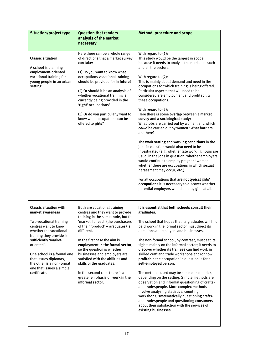| <b>Situation/project type</b>                                                                                                                                                                                                                                                                                                     | <b>Question that renders</b><br>analysis of the market<br>necessary                                                                                                                                                                                                                                                                                                                                                                                                                        | <b>Method, procedure and scope</b>                                                                                                                                                                                                                                                                                                                                                                                                                                                                                                                                                                                                                                                                                                                                                                                                                                                                                                                                                                                                                                                                         |
|-----------------------------------------------------------------------------------------------------------------------------------------------------------------------------------------------------------------------------------------------------------------------------------------------------------------------------------|--------------------------------------------------------------------------------------------------------------------------------------------------------------------------------------------------------------------------------------------------------------------------------------------------------------------------------------------------------------------------------------------------------------------------------------------------------------------------------------------|------------------------------------------------------------------------------------------------------------------------------------------------------------------------------------------------------------------------------------------------------------------------------------------------------------------------------------------------------------------------------------------------------------------------------------------------------------------------------------------------------------------------------------------------------------------------------------------------------------------------------------------------------------------------------------------------------------------------------------------------------------------------------------------------------------------------------------------------------------------------------------------------------------------------------------------------------------------------------------------------------------------------------------------------------------------------------------------------------------|
| <b>Classic situation</b><br>A school is planning<br>employment-oriented<br>vocational training for<br>young people in an urban<br>setting.                                                                                                                                                                                        | Here there can be a whole range<br>of directions that a market survey<br>can take:<br>(1) Do you want to know what<br>occupations vocational training<br>should be provided for in future?<br>(2) Or should it be an analysis of<br>whether vocational training is<br>currently being provided in the<br>'right' occupations?<br>(3) Or do you particularly want to<br>know what occupations can be<br>offered to girls?                                                                   | With regard to (1):<br>This study would be the largest in scope,<br>because it needs to analyse the market as such<br>and all the sectors.<br>With regard to (2):<br>This is mainly about demand and need in the<br>occupations for which training is being offered.<br>Particular aspects that will need to be<br>considered are employment and profitability in<br>these occupations.<br>With regard to (3):<br>Here there is some overlap between a market<br>survey and a sociological study:<br>What jobs are carried out by women, and which<br>could be carried out by women? What barriers<br>are there?<br>The work setting and working conditions in the<br>jobs in question would also need to be<br>investigated (e.g. whether late working hours are<br>usual in the jobs in question, whether employers<br>would continue to employ pregnant women,<br>whether there are occupations in which sexual<br>harassment may occur, etc.).<br>For all occupations that are not typical girls'<br>occupations it is necessary to discover whether<br>potential employers would employ girls at all. |
| <b>Classic situation with</b><br>market awareness<br>Two vocational training<br>centres want to know<br>whether the vocational<br>training they provide is<br>sufficiently 'market-<br>oriented'.<br>One school is a formal one<br>that issues diplomas,<br>the other is a non-formal<br>one that issues a simple<br>certificate. | Both are vocational training<br>centres and they want to provide<br>training in the same trade, but the<br>'market' for each (the purchasers<br>of their 'product' - graduates) is<br>different.<br>In the first case the aim is<br>employment in the formal sector,<br>so the question is whether<br>businesses and employers are<br>satisfied with the abilities and<br>skills of the graduates.<br>In the second case there is a<br>greater emphasis on work in the<br>informal sector. | It is essential that both schools consult their<br>graduates.<br>The school that hopes that its graduates will find<br>paid work in the formal sector must direct its<br>questions at employers and businesses.<br>The non-formal school, by contrast, must set its<br>sights mainly on the informal sector; it needs to<br>discover whether its trainees can find work in<br>skilled craft and trade workshops and/or how<br>profitable the occupation in question is for a<br>self-employed person.<br>The methods used may be simple or complex,<br>depending on the setting. Simple methods are<br>observation and informal questioning of crafts-<br>and tradespeople. More complex methods<br>involve analysing statistics, counting<br>workshops, systematically questioning crafts-<br>and tradespeople and questioning consumers<br>about their satisfaction with the services of<br>existing businesses.                                                                                                                                                                                         |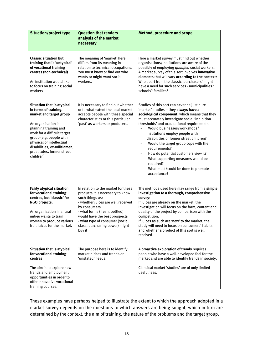| <b>Situation/project type</b>                                                                                                                                                                                                                                                                  | <b>Question that renders</b><br>analysis of the market<br>necessary                                                                                                                                                                                                                               | <b>Method, procedure and scope</b>                                                                                                                                                                                                                                                                                                                                                                                                                                                                                                                                         |  |
|------------------------------------------------------------------------------------------------------------------------------------------------------------------------------------------------------------------------------------------------------------------------------------------------|---------------------------------------------------------------------------------------------------------------------------------------------------------------------------------------------------------------------------------------------------------------------------------------------------|----------------------------------------------------------------------------------------------------------------------------------------------------------------------------------------------------------------------------------------------------------------------------------------------------------------------------------------------------------------------------------------------------------------------------------------------------------------------------------------------------------------------------------------------------------------------------|--|
| <b>Classic situation but</b><br>training that is 'untypical'<br>of vocational training<br>centres (non-technical)<br>An institution would like<br>to focus on training social<br>workers                                                                                                       | The meaning of 'market' here<br>differs from its meaning in<br>relation to technical occupations.<br>You must know or find out who<br>wants or might want social<br>workers.                                                                                                                      | Here a market survey must find out whether<br>organisations/institutions are aware of the<br>possibly of employing qualified social workers.<br>A market survey of this sort involves innovative<br>elements that will vary according to the context:<br>Who apart from the classic 'purchasers' might<br>have a need for such services - municipalities?<br>schools? families?                                                                                                                                                                                            |  |
| Situation that is atypical<br>in terms of training,<br>market and target group<br>An organisation is<br>planning training and<br>work for a difficult target<br>group (e.g. people with<br>physical or intellectual<br>disabilities, ex-militiamen,<br>prostitutes, former street<br>children) | It is necessary to find out whether<br>or to what extent the local market<br>accepts people with these special<br>characteristics or this particular<br>'past' as workers or producers.                                                                                                           | Studies of this sort can never be just pure<br>'market' studies - they always have a<br>sociological component, which means that they<br>must accurately investigate social 'inhibition<br>thresholds' and occupational requirements<br>Would businesses/workshops/<br>institutions employ people with<br>disabilities or former street children?<br>Would the target group cope with the<br>requirements?<br>How do potential customers view it?<br>$\blacksquare$<br>What supporting measures would be<br>required?<br>What must/could be done to promote<br>acceptance? |  |
| <b>Fairly atypical situation</b><br>for vocational training<br>centres, but 'classic' for<br>NGO projects.<br>An organisation in a rural<br>milieu wants to train<br>women to produce various<br>fruit juices for the market.                                                                  | In relation to the market for these<br>products it is necessary to know<br>such things as:<br>- whether juices are well received<br>by consumers<br>- what forms (fresh, bottled)<br>would have the best prospects<br>- what type of consumer (social<br>class, purchasing power) might<br>buy it | The methods used here may range from a simple<br>investigation to a thorough, comprehensive<br>survey:<br>If juices are already on the market, the<br>investigation will focus on the form, content and<br>quality of the project by comparison with the<br>competition.<br>If juices as such are 'new' to the market, the<br>study will need to focus on consumers' habits<br>and whether a product of this sort is well<br>received.                                                                                                                                     |  |
| Situation that is atypical<br>for vocational training<br>centres<br>The aim is to explore new<br>trends and employment<br>opportunities in order to<br>offer innovative vocational<br>training courses.                                                                                        | The purpose here is to identify<br>market niches and trends or<br>'unstated' needs.                                                                                                                                                                                                               | A proactive exploration of trends requires<br>people who have a well-developed feel for the<br>market and are able to identify trends in society.<br>Classical market 'studies' are of only limited<br>usefulness.                                                                                                                                                                                                                                                                                                                                                         |  |

These examples have perhaps helped to illustrate the extent to which the approach adopted in a market survey depends on the questions to which answers are being sought, which in turn are determined by the context, the aim of training, the nature of the problems and the target group.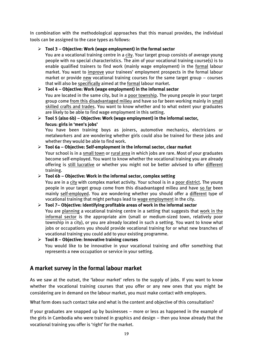In combination with the methodological approaches that this manual provides, the individual tools can be assigned to the case types as follows:

### **Tool 3 – Objective: Work (wage employment) in the formal sector**

You are a vocational training centre in a city. Your target group consists of average young people with no special characteristics. The aim of your vocational training course(s) is to enable qualified trainers to find work (mainly wage employment) in the formal labour market. You want to improve your trainees' employment prospects in the formal labour market or provide new vocational training courses for the same target group – courses that will also be specifically aimed at the formal labour market.

### **Tool 4 – Objective: Work (wage employment) in the informal sector**

You are located in the same city, but in a poor township. The young people in your target group come from this disadvantaged milieu and have so far been working mainly in small skilled crafts and trades. You want to know whether and to what extent your graduates are likely to be able to find wage employment in this setting.

### **Tool 5 (also 6b) – Objective: Work (wage employment) in the informal sector, focus: girls in 'men's jobs'**

You have been training boys as joiners, automotive mechanics, electricians or metalworkers and are wondering whether girls could also be trained for these jobs and whether they would be able to find work.

### **Tool 6a – Objective: Self-employment in the informal sector, clear market**

Your school is in a small town or rural area in which jobs are rare. Most of your graduates become self-employed. You want to know whether the vocational training you are already offering is still lucrative or whether you might not be better advised to offer different training.

### **Tool 6b – Objective: Work in the informal sector, complex setting**

You are in a city with complex market activity. Your school is in a poor district. The young people in your target group come from this disadvantaged milieu and have so far been mainly self-employed. You are wondering whether you should offer a different type of vocational training that might perhaps lead to wage employment in the city.

### **Tool 7– Objective: Identifying profitable areas of work in the informal sector**

You are planning a vocational training centre in a setting that suggests that work in the informal sector is the appropriate aim (small or medium-sized town, relatively poor township in a city), or you are already located in such a setting. You want to know what jobs or occupations you should provide vocational training for or what new branches of vocational training you could add to your existing programme.

 **Tool 8 – Objective: Innovative training courses** You would like to be innovative in your vocational training and offer something that represents a new occupation or service in your setting.

# <span id="page-18-0"></span>**A market survey in the formal labour market**

As we saw at the outset, the 'labour market' refers to the supply of jobs. If you want to know whether the vocational training courses that you offer or any new ones that you might be considering are in demand on the labour market, you must make contact with employers.

What form does such contact take and what is the content and objective of this consultation?

If your graduates are snapped up by businesses – more or less as happened in the example of the girls in Cambodia who were trained in graphics and design – then you know already that the vocational training you offer is 'right' for the market.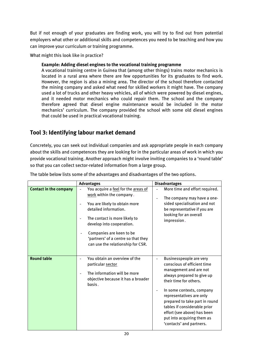But if not enough of your graduates are finding work, you will try to find out from potential employers what other or additional skills and competences you need to be teaching and how you can improve your curriculum or training programme.

What might this look like in practice?

### **Example: Adding diesel engines to the vocational training programme**

A vocational training centre in Guinea that (among other things) trains motor mechanics is located in a rural area where there are few opportunities for its graduates to find work. However, the region is also a mining area. The director of the school therefore contacted the mining company and asked what need for skilled workers it might have. The company used a lot of trucks and other heavy vehicles, all of which were powered by diesel engines, and it needed motor mechanics who could repair them. The school and the company therefore agreed that diesel engine maintenance would be included in the motor mechanics' curriculum. The company provided the school with some old diesel engines that could be used in practical vocational training.

# <span id="page-19-0"></span>**Tool 3: Identifying labour market demand**

Concretely, you can seek out individual companies and ask appropriate people in each company about the skills and competences they are looking for in the particular areas of work in which you provide vocational training. Another approach might involve inviting companies to a 'round table' so that you can collect sector-related information from a large group.

|                               | <b>Advantages</b>                                                                                                                                                                                                                                                                               | <b>Disadvantages</b>                                                                                                                                                                                                                                                                                                                                         |
|-------------------------------|-------------------------------------------------------------------------------------------------------------------------------------------------------------------------------------------------------------------------------------------------------------------------------------------------|--------------------------------------------------------------------------------------------------------------------------------------------------------------------------------------------------------------------------------------------------------------------------------------------------------------------------------------------------------------|
| <b>Contact in the company</b> | You acquire a feel for the areas of<br>work within the company.<br>You are likely to obtain more<br>detailed information.<br>The contact is more likely to<br>develop into cooperation.<br>Companies are keen to be<br>'partners' of a centre so that they<br>can use the relationship for CSR. | More time and effort required.<br>The company may have a one-<br>$\blacksquare$<br>sided specialisation and not<br>be representative if you are<br>looking for an overall<br>impression.                                                                                                                                                                     |
| <b>Round table</b>            | You obtain an overview of the<br>particular sector<br>The information will be more<br>objective because it has a broader<br>basis.                                                                                                                                                              | Businesspeople are very<br>conscious of efficient time<br>management and are not<br>always prepared to give up<br>their time for others.<br>In some contexts, company<br>representatives are only<br>prepared to take part in round<br>tables if considerable prior<br>effort (see above) has been<br>put into acquiring them as<br>'contacts' and partners. |

The table below lists some of the advantages and disadvantages of the two options.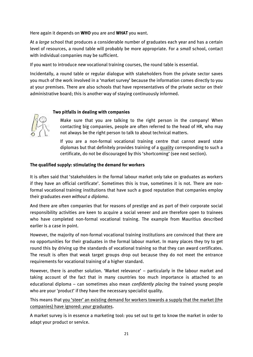Here again it depends on **WHO** you are and **WHAT** you want.

At a *large* school that produces a considerable number of graduates each year and has a certain level of resources, a round table will probably be more appropriate. For a *small* school, contact with individual companies may be sufficient.

If you want to introduce *new* vocational training courses, the round table is essential.

Incidentally, a round table or regular dialogue with stakeholders from the private sector saves you much of the work involved in a 'market survey' because the information comes directly to you at your premises. There are also schools that have representatives of the private sector on their administrative board; this is another way of staying continuously informed.

#### **Two pitfalls in dealing with companies**



Make sure that you are talking to the right person in the company! When contacting big companies, people are often referred to the head of HR, who may not always be the right person to talk to about technical matters.

If you are a non-formal vocational training centre that cannot award state diplomas but that definitely provides training of a quality corresponding to such a certificate, do not be discouraged by this 'shortcoming' (see next section).

#### **The qualified supply: stimulating the demand for workers**

It is often said that 'stakeholders in the formal labour market only take on graduates as workers if they have an official certificate'. Sometimes this is true, sometimes it is not. There are nonformal vocational training institutions that have such a good reputation that companies employ their graduates *even without a diploma*.

And there are often companies that for reasons of prestige and as part of their corporate social responsibility activities are keen to acquire a social veneer and are therefore open to trainees who have completed non-formal vocational training. The example from Mauritius described earlier is a case in point.

However, the majority of non-formal vocational training institutions are convinced that there are no opportunities for their graduates in the formal labour market. In many places they try to get round this by driving up the standards of vocational training so that they can award certificates. The result is often that weak target groups drop out because they do not meet the entrance requirements for vocational training of a higher standard.

However, there is another solution. 'Market relevance' – particularly in the labour market and taking account of the fact that in many countries too much importance is attached to an educational diploma – can sometimes also mean *confidently placing* the trained young people who are your 'product' if they have the necessary specialist quality.

This means that you 'steer' an existing demand for workers towards a supply that the market (the companies) have ignored: *your* graduates.

A market survey is in essence a marketing tool: you set out to get to know the market in order to adapt your product or service.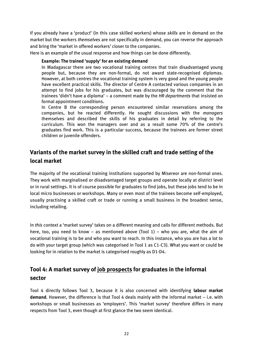If you already have a 'product' (in this case skilled workers) whose *skills* are in demand on the market but the workers *themselves* are not specifically in demand, you can reverse the approach and bring the 'market in offered workers' closer to the companies.

Here is an example of the usual response and how things can be done differently.

#### **Example: The trained 'supply' for an existing demand**

In Madagascar there are two vocational training centres that train disadvantaged young people but, because they are non-formal, do not award state-recognised diplomas. However, at both centres the vocational training system is very good and the young people have excellent practical skills. The director of Centre A contacted various companies in an attempt to find jobs for his graduates, but was discouraged by the comment that the trainees 'didn't have a diploma' – a comment made by the *HR departments* that insisted on formal appointment conditions.

In Centre B the corresponding person encountered similar reservations among the companies, but he reacted differently. He sought discussions with the *managers* themselves and described the skills of his graduates in detail by referring to the curriculum. This won the managers over and as a result some 70% of the centre's graduates find work. This is a particular success, because the trainees are former street children or juvenile offenders.

# <span id="page-21-0"></span>**Variants of the market survey in the skilled craft and trade setting of the local market**

The majority of the vocational training institutions supported by Misereor are non-formal ones. They work with marginalised or disadvantaged target groups and operate locally at district level or in rural settings. It is of course possible for graduates to find jobs, but these jobs tend to be in local micro businesses or workshops. Many or even most of the trainees become self-employed, usually practising a skilled craft or trade or running a small business in the broadest sense, including retailing.

In *this* context a 'market survey' takes on a different meaning and calls for different methods. But here, too, you need to know – as mentioned above (Tool 1) – who you are, what the aim of vocational training is to be and who you want to reach. In this instance, who you are has a lot to do with your target group (which was categorised in Tool 1 as C1-C3). What you want or could be looking for in relation to the market is categorised roughly as D1-D4.

# <span id="page-21-1"></span>**Tool 4: A market survey of job prospects for graduates in the informal sector**

Tool 4 directly follows Tool 3, because it is also concerned with identifying **labour market demand**. However, the difference is that Tool 4 deals mainly with the informal market – i.e. with workshops or small businesses as 'employers'. This 'market survey' therefore differs in many respects from Tool 3, even though at first glance the two seem identical.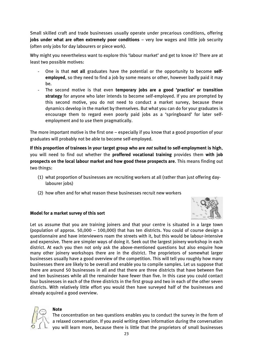Small skilled craft and trade businesses usually operate under precarious conditions, offering **jobs under what are often extremely poor conditions** – very low wages and little job security (often only jobs for day labourers or piece work).

Why might you nevertheless want to explore this 'labour market' and get to know it? There are at least two possible motives:

- One is that **not all** graduates have the potential or the opportunity to become **selfemployed**, so they need to find a job by some means or other, however badly paid it may be.
- The second motive is that even **temporary jobs are a good 'practice' or transition strategy** for anyone who later intends to become self-employed. If you are prompted by this second motive, you do not need to conduct a market survey, because these dynamics develop in the market by themselves. But what you can do for your graduates is encourage them to regard even poorly paid jobs as a 'springboard' for later selfemployment and to use them pragmatically.

The more important motive is the first one – especially if you know that a good proportion of your graduates will probably not be able to become self-employed.

**If this proportion of trainees in your target group who are** *not* **suited to self-employment is high**, you will need to find out whether the **proffered vocational training** provides them **with job prospects on the local labour market and how good these prospects are**. This means finding out two things:

- (1) what proportion of businesses are recruiting workers at all (rather than just offering daylabourer jobs)
- (2) how often and for what reason these businesses recruit new workers



### **Model for a market survey of this sort**

Let us assume that you are training joiners and that your centre is situated in a large town (population of approx. 50,000 – 100,000) that has ten districts. You could of course design a questionnaire and have interviewers roam the streets with it, but this would be labour-intensive and expensive. There are simpler ways of doing it. Seek out the largest joinery workshop in each district. At each you then not only ask the above-mentioned questions but also enquire how many other joinery workshops there are in the district. The proprietors of somewhat larger businesses usually have a good overview of the competition. This will tell you roughly how many businesses there are likely to be overall and enable you to compile samples. Let us suppose that there are around 50 businesses in all and that there are three districts that have between five and ten businesses while all the remainder have fewer than five. In this case you could contact four businesses in each of the three districts in the first group and two in each of the other seven districts. With relatively little effort you would then have surveyed half of the businesses and already acquired a good overview.



#### **Note**

The concentration on two questions enables you to conduct the survey in the form of a relaxed conversation. If you avoid writing down information during the conversation  $\sim$  you will learn more, because there is little that the proprietors of small businesses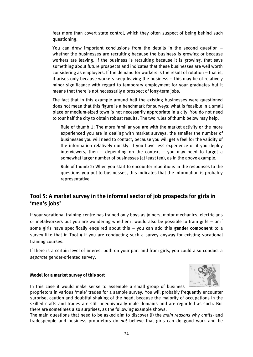fear more than covert state control, which they often suspect of being behind such questioning.

You can draw important conclusions from the details in the second question – whether the businesses are recruiting because the business is growing or because workers are leaving. If the business is recruiting because it is growing, that says something about future prospects and indicates that these businesses are well worth considering as employers. If the demand for workers is the result of rotation – that is, it arises only because workers keep leaving the business – this may be of relatively minor significance with regard to temporary employment for your graduates but it means that there is not necessarily a prospect of long-term jobs.

The fact that in this example around half the existing businesses were questioned does not mean that this figure is a benchmark for surveys: what is feasible in a small place or medium-sized town is not necessarily appropriate in a city. You do not need to tour half the city to obtain robust results. The two rules of thumb below may help.

Rule of thumb 1: The more familiar you are with the market activity or the more experienced you are in dealing with market surveys, the smaller the number of businesses you will need to contact, because you will get a feel for the validity of the information relatively quickly. If you have less experience or if you deploy interviewers, then  $-$  depending on the context  $-$  you may need to target a somewhat larger number of businesses (at least ten), as in the above example.

Rule of thumb 2: When you start to encounter repetitions in the responses to the questions you put to businesses, this indicates that the information is probably representative.

# <span id="page-23-0"></span>**Tool 5: A market survey in the informal sector of job prospects for girls in 'men's jobs'**

If your vocational training centre has trained only boys as joiners, motor mechanics, electricians or metalworkers but you are wondering whether it would also be possible to train girls – or if some girls have specifically enquired about this – you can add this **gender component** to a survey like that in Tool 4 if you are conducting such a survey anyway for existing vocational training courses.

If there is a certain level of interest both on your part and from girls, you could also conduct a *separate* gender-oriented survey.

#### **Model for a market survey of this sort**



In this case it would make sense to assemble a small group of business

proprietors in various 'male' trades for a sample survey. You will probably frequently encounter surprise, caution and doubtful shaking of the head, because the majority of occupations in the skilled crafts and trades are still unequivocally male domains and are regarded as such. But there are sometimes also surprises, as the following example shows.

The main questions that need to be asked aim to discover (I) the *main reasons* why crafts- and tradespeople and business proprietors do *not* believe that girls can do good work and be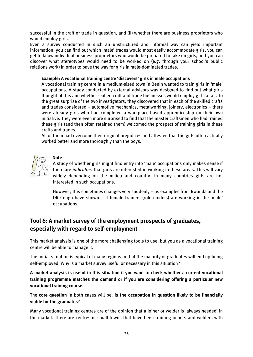successful in the craft or trade in question, and (II) whether there are business proprietors who would employ girls.

Even a survey conducted in such an unstructured and informal way can yield important information: you can find out which 'male' trades would most easily accommodate girls, you can get to know individual business proprietors who would be prepared to take on girls, and you can discover what stereotypes would need to be worked on (e.g. through your school's public relations work) in order to pave the way for girls in male-dominated trades.

#### **Example: A vocational training centre 'discovers' girls in male occupations**

A vocational training centre in a medium-sized town in Benin wanted to train girls in 'male' occupations. A study conducted by external advisors was designed to find out what girls thought of this and whether skilled craft and trade businesses would employ girls at all. To the great surprise of the two investigators, they discovered that in each of the skilled crafts and trades considered – automotive mechanics, metalworking, joinery, electronics – there were already girls who had completed a workplace-based apprenticeship on their own initiative. They were even more surprised to find that the master craftsmen who had trained these girls (and then often retained them) welcomed the prospect of training girls in these crafts and trades.

All of them had overcome their original prejudices and attested that the girls often actually worked better and more thoroughly than the boys.



# **Note**

A study of whether girls might find entry into 'male' occupations only makes sense if there are *indicators* that girls are interested in working in these areas. This will vary widely depending on the milieu and country. In many countries girls are not interested in such occupations.

However, this sometimes changes very suddenly – as examples from Rwanda and the DR Congo have shown – if female trainers (role models) are working in the 'male' occupations.

# <span id="page-24-0"></span>**Tool 6: A market survey of the employment prospects of graduates, especially with regard to self-employment**

This market analysis is one of the more challenging tools to use, but you as a vocational training centre will be able to manage it.

The initial situation is typical of many regions in that the majority of graduates will end up being self-employed. Why is a market survey useful or necessary in this situation?

**A market analysis is useful in this situation if you want to check whether a current vocational training programme matches the demand or if you are considering offering a particular new vocational training course.**

The **core question** in both cases will be: **is the occupation in question likely to be financially viable for the graduates**?

Many vocational training centres are of the opinion that a joiner or welder is 'always needed' in the market. There are centres in small towns that have been training joiners and welders with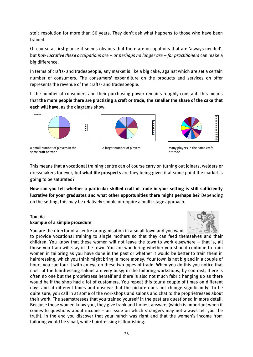stoic resolution for more than 50 years. They don't ask what happens to those who have been trained.

Of course at first glance it seems obvious that there are occupations that are 'always needed', but *how lucrative these occupations are – or perhaps no longer are – for practitioners* can make a big difference.

In terms of crafts- and tradespeople, any market is like a big cake, against which are set a certain number of consumers. The consumers' expenditure on the products and services on offer represents the revenue of the crafts- and tradespeople.

If the number of consumers and their purchasing power remains roughly constant, this means that **the more people there are practising a craft or trade, the smaller the share of the cake that each will have**, as the diagrams show.



A small number of players in the A larger number of players Many players in the same craft same craft or trade or trade or trade or trade or trade or trade or trade or trade





This means that a vocational training centre can of course carry on turning out joiners, welders or dressmakers for ever, but **what life prospects** are they being given if at some point the market is going to be saturated?

**How can you tell whether a particular skilled craft of trade in your setting is still sufficiently lucrative for your graduates and what other opportunities there might perhaps be?** Depending on the setting, this may be relatively simple or require a multi-stage approach.

#### **Tool 6a Example of a simple procedure**



You are the director of a centre or organisation in a small town and you want to provide vocational training to single mothers so that they can feed themselves and their children. You know that these women will not leave the town to work elsewhere – that is, all those you train will stay in the town. You are wondering whether you should continue to train women in tailoring as you have done in the past or whether it would be better to train them in hairdressing, which you think might bring in more money. Your town is not big and in a couple of hours you can tour it with an eye on these two types of trade. When you do this you notice that most of the hairdressing salons are very busy; in the tailoring workshops, by contrast, there is often no one but the proprietress herself and there is also not much fabric hanging up as there would be if the shop had a lot of customers. You repeat this tour a couple of times on different days and at different times and observe that the picture does not change significantly. To be quite sure, you call in at some of the workshops and salons and chat to the proprietresses about their work. The seamstresses that you trained yourself in the past are questioned in more detail. Because these women know you, they give frank and honest answers (which is important when it comes to questions about income – an issue on which strangers may not always tell you the truth). In the end you discover that your hunch was right and that the women's income from tailoring would be small, while hairdressing is flourishing.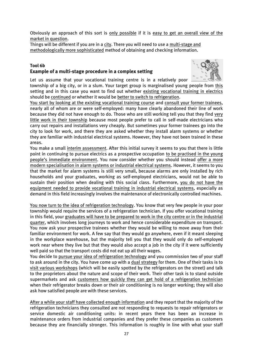Obviously an approach of this sort is only possible if it is easy to get an overall view of the market in question.

Things will be different if you are in a city. There you will need to use a multi-stage and methodologically more sophisticated method of obtaining and checking information.

#### **Tool 6b Example of a multi-stage procedure in a complex setting**



Let us assume that your vocational training centre is in a relatively poor

township of a big city, or in a slum. Your target group is marginalised young people from this setting and in this case you want to find out whether existing vocational training in electrics should be continued or whether it would be better to switch to refrigeration.

You start by looking at the existing vocational training course and consult your former trainees, nearly all of whom are or were self-employed: many have clearly abandoned their line of work because they did not have enough to do. Those who are still working tell you that they find very little work in their township because most people prefer to call in self-made electricians who carry out repairs and installations very cheaply. But sometimes your former trainees go into the city to look for work, and there they are asked whether they install alarm systems or whether they are familiar with industrial electrical systems. However, they have not been trained in these areas.

You make a small interim assessment. After this initial survey it seems to you that there is little point in continuing to pursue electrics as a prospective occupation to be practised in the young people's immediate environment. You now consider whether you should instead offer a more modern specialisation in alarm systems or industrial electrical systems. However, it seems to you that the market for alarm systems is still very small, because alarms are only installed by rich households and your graduates, working as self-employed electricians, would not be able to sustain their position when dealing with this social class. Furthermore, you do not have the equipment needed to provide vocational training in industrial electrical systems, especially as demand in this field increasingly involves the maintenance of electronically controlled machines.

You now turn to the idea of refrigeration technology. You know that very few people in your poor township would require the services of a refrigeration technician. If you offer vocational training in this field, your graduates will have to be prepared to work in the city centre or in the industrial quarter, which involves long journeys to work and hence considerable expenditure on transport. You now ask your prospective trainees whether they would be willing to move away from their familiar environment for work. A few say that they would go anywhere, even if it meant sleeping in the workplace warehouse, but the majority tell you that they would only do self-employed work near where they live but that they would also accept a job in the city if it were sufficiently well paid so that the transport costs did not eat up all their wages.

You decide to pursue your idea of refrigeration technology and you commission two of your staff to ask around in the city. You have come up with a dual strategy for them. One of their tasks is to visit various workshops (which will be easily spotted by the refrigerators on the street) and talk to the proprietors about the nature and scope of their work. Their other task is to stand outside supermarkets and ask customers how quickly they can get hold of a refrigeration technician when their refrigerator breaks down or their air conditioning is no longer working; they will also ask how satisfied people are with these services.

After a while your staff have collected enough information and they report that the majority of the refrigeration technicians they consulted are not responding to requests to repair refrigerators or service domestic air conditioning units: in recent years there has been an increase in maintenance orders from industrial companies and they prefer these companies as customers because they are financially stronger. This information is roughly in line with what your staff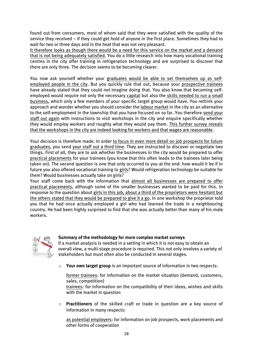found out from consumers, most of whom said that they were satisfied with the quality of the service they received – if they could get hold of anyone in the first place. Sometimes they had to wait for two or three days and in the heat that was not very pleasant.

It therefore looks as though there would be a need for this service on the market and a demand that is not being adequately satisfied. You do a little research into how many vocational training centres in the city offer training in refrigeration technology and are surprised to discover that there are only three. The decision seems to be becoming clearer.

You now ask yourself whether your graduates would be able to set themselves up as selfemployed people in the city. But you quickly rule that out, because your prospective trainees have already stated that they could not imagine doing that. You also know that becoming selfemployed would require not only the necessary capital but also the skills needed to run a small business, which only a few members of your specific target group would have. You rethink your approach and wonder whether you should consider the labour market in the city as an alternative to the self-employment in the township that you have focused on so far. You therefore send your staff out again with instructions to visit workshops in the city and enquire specifically whether they would employ workers and roughly what they would pay them. This further survey reveals that the workshops in the city are indeed looking for workers and that wages are reasonable.

Your decision is therefore made. In order to focus in even more detail on job prospects for future graduates, you send your staff out a third time. They are instructed to discover or negotiate two things. First of all, they are to ask whether the businesses in the city would be prepared to offer practical placements for your trainees (you know that this often leads to the trainees later being taken on). The second question is one that only occurred to you at the end: how would it be if in future you also offered vocational training to girls? Would refrigeration technology be suitable for them? Would businesses actually take on girls?

Your staff come back with the information that almost all businesses are prepared to offer practical placements, although some of the smaller businesses wanted to be paid for this. In response to the question about girls in this job, about a third of the proprietors were hesitant but the others stated that they would be prepared to give it a go. In one workshop the proprietor told you that he had once actually employed a girl who had learned the trade in a neighbouring country. He had been highly surprised to find that she was actually better than many of his male workers.



### **Summary of the methodology for more complex market surveys**

If a market analysis is needed in a setting in which it is not easy to obtain an overall view, a multi-stage procedure is required. This not only involves a variety of stakeholders but must often also be conducted in several stages.

o **Your own target group** is an important source of information in two respects:

former trainees: for information on the market situation (demand, customers, sales, competition)

trainees: for information on the compatibility of their ideas, wishes and skills with the market in question

o **Practitioners** of the skilled craft or trade in question are a key source of information in many respects:

as potential employers: for information on job prospects, work placements and other forms of cooperation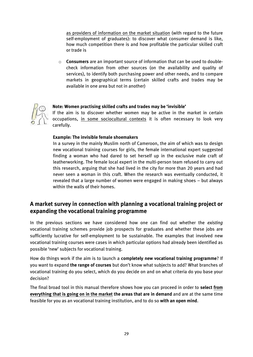as providers of information on the market situation (with regard to the future self-employment of graduates): to discover what consumer demand is like, how much competition there is and how profitable the particular skilled craft or trade is

o **Consumers** are an important source of information that can be used to doublecheck information from other sources (on the availability and quality of services), to identify both purchasing power and other needs, and to compare markets in geographical terms (certain skilled crafts and trades may be available in one area but not in another)



#### **Note: Women practising skilled crafts and trades may be 'invisible'**

If the aim is to discover whether women may be active in the market in certain occupations, in some sociocultural contexts it is often necessary to look very carefully.

#### **Example: The invisible female shoemakers**

In a survey in the mainly Muslim north of Cameroon, the aim of which was to design new vocational training courses for girls, the female international expert suggested finding a woman who had dared to set herself up in the exclusive male craft of leatherworking. The female local expert in the multi-person team refused to carry out this research, arguing that she had lived in the city for more than 20 years and had never seen a woman in this craft. When the research was eventually conducted, it revealed that a large number of women were engaged in making shoes – but always within the walls of their homes.

# <span id="page-28-0"></span>**A market survey in connection with planning a vocational training project or expanding the vocational training programme**

In the previous sections we have considered how one can find out whether the *existing* vocational training schemes provide job prospects for graduates and whether these jobs are sufficiently lucrative for self-employment to be sustainable. The examples that involved new vocational training courses were cases in which particular options had already been identified as possible 'new' subjects for vocational training.

How do things work if the aim is to launch a **completely new vocational training programme**? If you want to expand **the range of courses** but don't know what subjects to add? What branches of vocational training do you select, which do you decide on and on what criteria do you base your decision?

The final broad tool in this manual therefore shows how you can proceed in order to **select from everything that is going on in the market the areas that are in demand** and are at the same time feasible for you as an vocational training institution, and to do so **with an open mind**.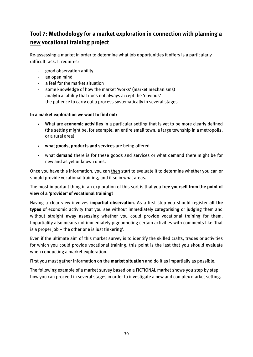# <span id="page-29-0"></span>**Tool 7: Methodology for a market exploration in connection with planning a new vocational training project**

Re-assessing a market in order to determine what job opportunities it offers is a particularly difficult task. It requires:

- good observation ability
- an open mind
- a feel for the market situation
- some knowledge of how the market 'works' (market mechanisms)
- analytical ability that does not always accept the 'obvious'
- the patience to carry out a process systematically in several stages

#### **In a market exploration we want to find out:**

- What are **economic activities** in a particular setting that is yet to be more clearly defined (the setting might be, for example, an entire small town, a large township in a metropolis, or a rural area)
- **what goods, products and services** are being offered
- what **demand** there is for these goods and services or what demand there might be for new and as yet unknown ones.

Once you have this information, you can then start to evaluate it to determine whether you can or should provide vocational training, and if so in what areas.

The most important thing in an exploration of this sort is that you **free yourself from the point of view of a 'provider' of vocational training!**

Having a clear view involves **impartial observation**. As a first step you should register **all the types** of economic activity that you see without immediately categorising or judging them and without straight away assessing whether you could provide vocational training for them. Impartiality also means not immediately pigeonholing certain activities with comments like 'that is a proper job – the other one is just tinkering'.

Even if the ultimate aim of this market survey is to identify the skilled crafts, trades or activities for which you could provide vocational training, this point is the last that you should evaluate when conducting a market exploration.

First you must gather information on the **market situation** and do it as impartially as possible.

The following example of a market survey based on a FICTIONAL market shows you step by step how you can proceed in several stages in order to investigate a new and complex market setting.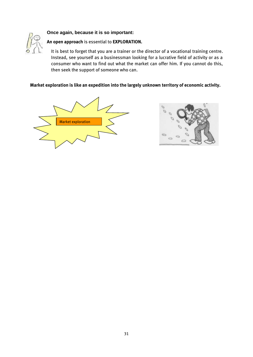



# **An open approach** is essential to **EXPLORATION.**

It is best to forget that you are a trainer or the director of a vocational training centre. Instead, see yourself as a businessman looking for a lucrative field of activity or as a consumer who want to find out what the market can offer him. If you cannot do this, then seek the support of someone who can.

#### **Market exploration is like an expedition into the largely unknown territory of economic activity.**



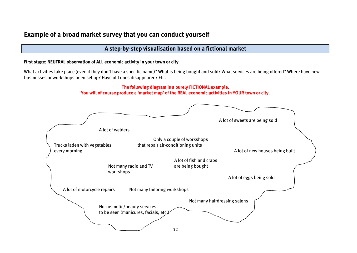# **Example of a broad market survey that you can conduct yourself**

# **A step-by-step visualisation based on a fictional market**

#### **First stage: NEUTRAL observation of ALL economic activity in your town or city**

What activities take place (even if they don't have a specific name)? What is being bought and sold? What services are being offered? Where have new businesses or workshops been set up? Have old ones disappeared? Etc.

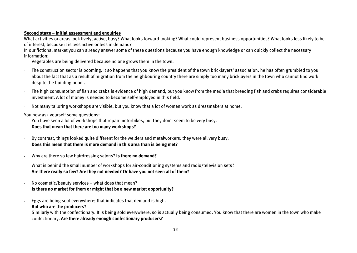#### **Second stage – initial assessment and enquiries**

What activities or areas look lively, active, busy? What looks forward-looking? What could represent business opportunities? What looks less likely to be of interest, because it is less active or less in demand?

In our fictional market you can already answer some of these questions because you have enough knowledge or can quickly collect the necessary information:

- Vegetables are being delivered because no one grows them in the town.
- The construction sector is booming. It so happens that you know the president of the town bricklayers' association: he has often grumbled to you about the fact that as a result of migration from the neighbouring country there are simply too many bricklayers in the town who cannot find work despite the building boom.
- The high consumption of fish and crabs is evidence of high demand, but you know from the media that breeding fish and crabs requires considerable investment. A lot of money is needed to become self-employed in this field.
- Not many tailoring workshops are visible, but you know that a lot of women work as dressmakers at home.

You now ask yourself some questions:

- You have seen a lot of workshops that repair motorbikes, but they don't seem to be very busy. **Does that mean that there are too many workshops?**
- By contrast, things looked quite different for the welders and metalworkers: they were all very busy. **Does this mean that there is more demand in this area than is being met?**
- Why are there so few hairdressing salons? **Is there no demand?**
- What is behind the small number of workshops for air-conditioning systems and radio/television sets? **Are there really so few? Are they not needed? Or have you not seen all of them?**
- No cosmetic/beauty services what does that mean? **Is there no market for them or might that be a new market opportunity?**
- Eggs are being sold everywhere; that indicates that demand is high. **But who are the producers?**
- Similarly with the confectionary. It is being sold everywhere, so is actually being consumed. You know that there are women in the town who make confectionary. **Are there already enough confectionary producers?**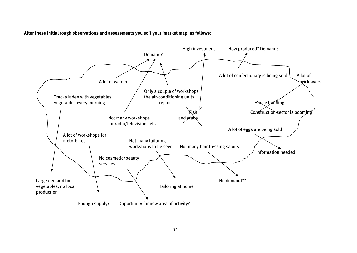**After these initial rough observations and assessments you edit your 'market map' as follows:**

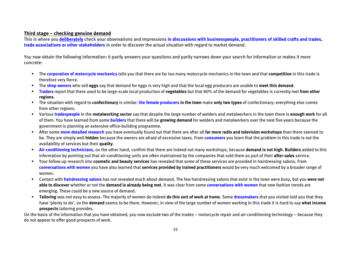#### **Third stage – checking genuine demand**

This is where you **deliberately** check your observations and impressions **in discussions with businesspeople, practitioners of skilled crafts and trades, trade associations or other stakeholders** in order to discover the actual situation with regard to market demand.

You now obtain the following information: it partly answers your questions and partly narrows down your search for information or makes it more concrete:

- The **corporation of motorcycle mechanics** tells you that there are far too many motorcycle mechanics in the town and that **competition** in this trade is therefore very fierce.
- The **shop owners** who sell **eggs** say that demand for eggs is very high and that the local egg producers are unable to **meet this demand**.
- **Traders** report that there used to be large-scale local production of **vegetables** but that 80% of the demand for vegetables is currently met **from other regions**.
- The situation with regard to **confectionary** is similar: **the female producers in the town** make **only two types** of confectionary; everything else comes from other regions.
- Various **tradespeople** in the **metalworking sector** say that despite the large number of welders and metalworkers in the town there is **enough work** for all of them. You have learned from some **builders** that there will be **growing demand** for welders and metalworkers over the next five years because the government is planning an extensive office-building programme.
- After some **more detailed research** you have eventually found out that there are after all **far more radio and television workshops** than there seemed to be. They are simply well **hidden** because the owners are afraid of excessive taxes. From **consumers** you learn that the problem in this trade is not the availability of services but their **quality**.
- **Air-conditioning technicians**, on the other hand, confirm that there are indeed not many workshops, because **demand is not high**. **Builders** added to this information by pointing out that air-conditioning units are often maintained by the companies that sold them as part of their **after-sales** service.
- Your follow-up research into **cosmetic and beauty services** has revealed that some of these services are provided in hairdressing salons. From **conversations with women** you have also learned that **services provided by trained practitioners** would be very much welcomed by a broader range of women.
- Contact with **hairdressing salons** has not revealed much about demand. The few hairdressing salons that exist in the town were busy, but you **were not able to discover** whether or not the **demand is already being met**. It was clear from some **conversations with women** that new fashion trends are emerging. These could be a new source of demand.
- **Tailoring** was not easy to assess. The majority of women do indeed **do this sort of work at home**. Some **dressmakers** that you visited told you that they have 'plenty to do', so the **demand** seems to be there. However, in view of the large number of women working in this trade it is hard to say **what income prospects** tailoring provides.

On the basis of the information that you have obtained, you now exclude two of the trades – motorcycle repair and air-conditioning technology – because they do not appear to offer good prospects of work.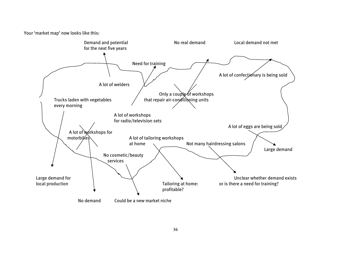Your 'market map' now looks like this:

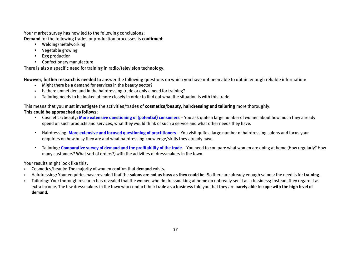Your market survey has now led to the following conclusions: **Demand** for the following trades or production processes is **confirmed**:

- Welding/metalworking
- **•** Vegetable growing
- **Egg production**
- Confectionary manufacture

There is also a specific need for training in radio/television technology.

**However, further research is needed** to answer the following questions on which you have not been able to obtain enough reliable information:

- Might there be a demand for services in the beauty sector?
- Is there unmet demand in the hairdressing trade or only a need for training?
- Tailoring needs to be looked at more closely in order to find out what the situation is with this trade.

### This means that you must investigate the activities/trades of **cosmetics/beauty, hairdressing and tailoring** more thoroughly.

### **This could be approached as follows:**

- Cosmetics/beauty: **More extensive questioning of (potential) consumers**  You ask quite a large number of women about how much they already spend on such products and services, what they would think of such a service and what other needs they have.
- **Hairdressing: More extensive and focused questioning of practitioners** You visit quite a large number of hairdressing salons and focus your enquiries on how busy they are and what hairdressing knowledge/skills they already have.
- Tailoring: **Comparative survey of demand and the profitability of the trade** You need to compare what women are doing at home (How regularly? How many customers? What sort of orders?) with the activities of dressmakers in the town.

### Your results might look like this:

- Cosmetics/beauty: The majority of women **confirm** that **demand** exists.
- Hairdressing: Your enquiries have revealed that the **salons are not as busy as they could be**. So there are already enough salons: the need is for **training**.
- Tailoring: Your thorough research has revealed that the women who do dressmaking at home do not really see it as a business; instead, they regard it as extra income. The few dressmakers in the town who conduct their **trade as a business** told you that they are **barely able to cope with the high level of demand**.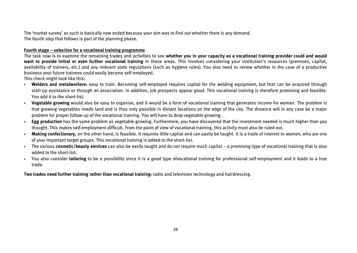The 'market survey' as such is basically now ended because your aim was to find out whether there is any demand. The fourth step that follows is part of the planning phase.

#### **Fourth stage – selection for a vocational training programme**

The task now is to examine the remaining trades and activities to see **whether you in your capacity as a vocational training provider could and would want to provide initial or even further vocational training** in these areas. This involves considering your institution's resources (premises, capital, availability of trainers, etc.) and any relevant state regulations (such as hygiene rules). You also need to review whether in the case of a productive business your future trainees could easily become self-employed.

This check might look like this:

- **Welders and metalworkers:** easy to train. Becoming self-employed requires capital for the welding equipment, but that can be acquired through start-up assistance or through an association. In addition, job prospects appear good. This vocational training is therefore promising and feasible. You add it to the short-list.
- **Vegetable growing** would also be easy to organise, and it would be a form of vocational training that generates income for women. The problem is that growing vegetables needs land and is thus only possible in distant locations on the edge of the city. The distance will in any case be a major problem for proper follow-up of the vocational training. You will have to drop vegetable growing.
- **Egg production** has the same problem as vegetable growing. Furthermore, you have discovered that the investment needed is much higher than you thought. This makes self-employment difficult. From the point of view of vocational training, this activity must also be ruled out.
- **Making confectionary**, on the other hand, is feasible. It requires little capital and can easily be taught. It is a trade of interest to women, who are one of your important target groups. This vocational training is added to the short-list.
- The various **cosmetic/beauty services** can also be easily taught and do not require much capital a promising type of vocational training that is also added to the short-list.
- You also consider **tailoring** to be a possibility since it is a good type ofvocational training for professional self-employment and it leads to a true trade.

**Two trades need further training rather than vocational training:** radio and television technology and hairdressing.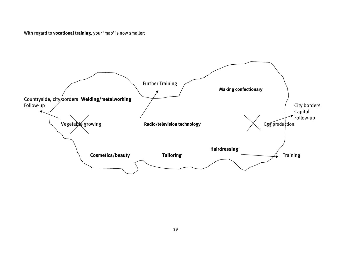With regard to **vocational training**, your 'map' is now smaller:

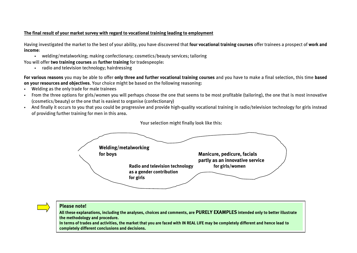#### **The final result of your market survey with regard to vocational training leading to employment**

Having investigated the market to the best of your ability, you have discovered that **four vocational training courses** offer trainees a prospect of **work and income**:

welding/metalworking; making confectionary; cosmetics/beauty services; tailoring

You will offer **two training courses** as **further training** for tradespeople:

radio and television technology; hairdressing

**For various reasons** you may be able to offer **only three and further vocational training courses** and you have to make a final selection, this time **based on your resources and objectives**. Your choice might be based on the following reasoning:

- Welding as the only trade for male trainees
- From the three options for girls/women you will perhaps choose the one that seems to be most profitable (tailoring), the one that is most innovative (cosmetics/beauty) or the one that is easiest to organise (confectionary)
- And finally it occurs to you that you could be progressive and provide high-quality vocational training in radio/television technology for girls instead of providing further training for men in this area.



#### Your selection might finally look like this:

#### **Please note!**

**All these explanations, including the analyses, choices and comments, are PURELY EXAMPLES intended only to better illustrate the methodology and procedure.**

**In terms of trades and activities, the market that you are faced with IN REAL LIFE may be completely different and hence lead to completely different conclusions and decisions.**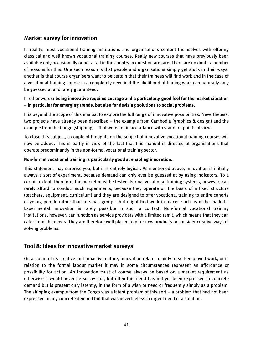# <span id="page-40-0"></span>**Market survey for innovation**

In reality, most vocational training institutions and organisations content themselves with offering classical and well known vocational training courses. Really new courses that have previously been available only occasionally or not at all in the country in question are rare. There are no doubt a number of reasons for this. One such reason is that people and organisations simply get stuck in their ways; another is that course organisers want to be certain that their trainees will find work and in the case of a vocational training course in a completely new field the likelihood of finding work can naturally only be guessed at and rarely guaranteed.

In other words: **being innovative requires courage and a particularly good feel for the market situation – in particular for emerging trends, but also for devising solutions to social problems.**

It is beyond the scope of this manual to explore the full range of innovative possibilities. Nevertheless, two projects have already been described – the example from Cambodia (graphics & design) and the example from the Congo (shipping) – that were not in accordance with standard points of view.

To close this subject, a couple of thoughts on the subject of innovative vocational training courses will now be added. This is partly in view of the fact that this manual is directed at organisations that operate predominantly in the non-formal vocational training sector.

#### **Non-formal vocational training is particularly good at enabling innovation.**

This statement may surprise you, but it is entirely logical. As mentioned above, innovation is initially always a sort of experiment, because demand can only ever be guessed at by using indicators. To a certain extent, therefore, the market must be tested. Formal vocational training systems, however, can rarely afford to conduct such experiments, because they operate on the basis of a fixed structure (teachers, equipment, curriculum) and they are designed to offer vocational training to entire cohorts of young people rather than to small groups that might find work in places such as niche markets. Experimental innovation is rarely possible in such a context. Non-formal vocational training institutions, however, can function as service providers with a limited remit, which means that they can cater for niche needs. They are therefore well placed to offer new products or consider creative ways of solving problems.

# <span id="page-40-1"></span>**Tool 8: Ideas for innovative market surveys**

On account of its creative and proactive nature, innovation relates mainly to self-employed work, or in relation to the formal labour market it may in some circumstances represent an affordance or possibility for action. An innovation must of course always be based on a market requirement as otherwise it would never be successful, but often this need has not yet been expressed in concrete demand but is present only latently, in the form of a wish or need or frequently simply as a problem. The shipping example from the Congo was a latent problem of this sort – a problem that had not been expressed in any concrete demand but that was nevertheless in urgent need of a solution.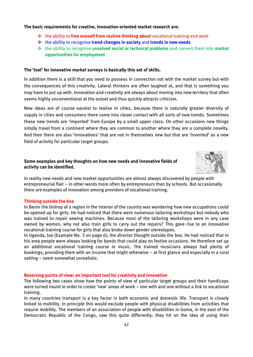#### **The basic requirements for creative, innovation-oriented market research are:**

- the ability to **free oneself from routine thinking about** vocational training and work
- the ability to recognise **trend changes in society** and **trends in new needs**
- the ability to recognise **unsolved social or technical problems** and convert them into **market opportunities for employment**

#### **The 'tool' for innovative market surveys is basically this set of skills.**

In addition there is a skill that you need to possess in connection not with the market survey but with the consequences of this creativity. Lateral thinkers are often laughed at, and that is something you may have to put up with. Innovation and creativity are always about moving into *new territory* that often seems highly unconventional at the outset and thus quickly attracts criticism.

New ideas are of course easiest to realise in cities, because there is naturally greater diversity of supply in cities and consumers there come into closer contact with all sorts of new trends. Sometimes these new trends are 'imported' from Europe by a small upper class. On other occasions new things simply travel from a continent where they are common to another where they are a complete novelty. And then there are also 'innovations' that are not in themselves new but that are 'invented' as a new field of activity for particular target groups.

#### **Some examples and key thoughts on how new needs and innovative fields of activity can be identified.**



In reality new needs and new market opportunities are almost always discovered by people with entrepreneurial flair – in other words more often by entrepreneurs than by schools. But occasionally there are examples of innovation among providers of vocational training.

#### **Thinking outside the box**

In Benin the bishop of a region in the interior of the country was wondering how new occupations could be opened up for girls. He had noticed that there were numerous tailoring workshops but nobody who was trained to repair sewing machines. Because most of the tailoring workshops were in any case owned by women, why not also train girls to carry out the repairs? This gave rise to an innovative vocational training course for girls that also broke down gender stereotypes.

In Uganda, too (Example No. 3 on page 6), the director thought outside the box. He had noticed that in his area people were always looking for bands that could play on festive occasions. He therefore set up an additional vocational training course in music. The trained musicians always had plenty of bookings, providing them with an income that might otherwise – at first glance and especially in a rural setting – seem somewhat unrealistic.

#### **Reversing points of view: an important tool for creativity and innovation**

The following two cases show how the points of view of particular target groups and their handicaps were turned round in order to create 'new' areas of work – one with and one without a link to vocational training.

In many countries transport is a key factor in both economic and domestic life. Transport is closely linked to mobility. In principle this would exclude people with physical disabilities from activities that require mobility. The members of an association of people with disabilities in Goma, in the east of the Democratic Republic of the Congo, saw this quite differently: they hit on the idea of using their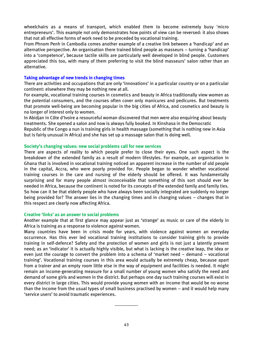wheelchairs as a means of transport, which enabled them to become extremely busy 'micro entrepreneurs'. This example not only demonstrates how points of view can be reversed: it also shows that not all effective forms of work need to be preceded by vocational training.

From Phnom Penh in Cambodia comes another example of a creative link between a 'handicap' and an alternative perspective. An organisation there trained blind people as masseurs – turning a 'handicap' into a 'competence', because tactile skills are particularly well developed in blind people. Customers appreciated this too, with many of them preferring to visit the blind masseurs' salon rather than an alternative.

#### **Taking advantage of new trends in changing times**

There are activities and occupations that are only 'innovations' in a particular country or on a particular continent: elsewhere they may be nothing new at all.

For example, vocational training courses in cosmetics and beauty in Africa traditionally view women as the potential consumers, and the courses often cover only manicures and pedicures. But treatments that promote well-being are becoming popular in the big cities of Africa, and cosmetics and beauty is no longer of interest only to women.

In Abidjan in Côte d'Ivoire a resourceful woman discovered that men were also enquiring about beauty treatments. She opened a salon and now is always fully booked. In Kinshasa in the Democratic

Republic of the Congo a nun is training girls in health massage (something that is nothing new in Asia but is fairly unusual in Africa) and she has set up a massage salon that is doing well.

#### **Society's changing values: new social problems call for new services**

There are aspects of reality to which people prefer to close their eyes. One such aspect is the breakdown of the extended family as a result of modern lifestyles. For example, an organisation in Ghana that is involved in vocational training noticed an apparent increase in the number of old people in the capital, Accra, who were poorly provided for. People began to wonder whether vocational training courses in the care and nursing of the elderly should be offered. It was fundamentally surprising and for many people almost inconceivable that something of this sort should ever be needed in Africa, because the continent is noted for its concepts of the extended family and family ties. So how can it be that elderly people who have always been socially integrated are suddenly no longer being provided for? The answer lies in the changing times and in changing values – changes that in this respect are clearly now affecting Africa.

#### **Creative 'links' as an answer to social problems**

Another example that at first glance may appear just as 'strange' as music or care of the elderly in Africa is training as a response to violence against women.

Many countries have been in crisis mode for years, with violence against women an everyday occurrence. Has this ever led vocational training institutions to consider training girls to provide training in self-defence? Safety and the protection of women and girls is not just a latently present need; as an 'indicator' it is actually highly visible, but what is lacking is the creative leap, the idea or even just the courage to convert the problem into a schema of 'market need – demand – vocational training'. Vocational training courses in this area would actually be extremely cheap, because apart from a trainer and an empty room little else in the way of equipment and facilities is needed. It might remain an income-generating measure for a small number of young women who satisfy the need and demand of some girls and women in the district. But perhaps one day such training courses will exist in every district in large cities. This would provide young women with an income that would be no worse than the income from the usual types of small business practised by women – and it would help many 'service users' to avoid traumatic experiences.

---------------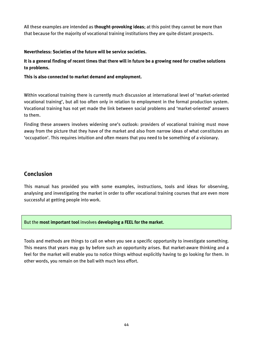All these examples are intended as **thought-provoking ideas**; at this point they cannot be more than that because for the majority of vocational training institutions they are quite distant prospects.

#### **Nevertheless: Societies of the future will be service societies.**

**It is a general finding of recent times that there will in future be a growing need for creative solutions to problems.**

**This is also connected to market demand and employment.**

Within vocational training there is currently much discussion at international level of 'market-oriented vocational training', but all too often only in relation to employment in the formal production system. Vocational training has not yet made the link between social problems and 'market-oriented' answers to them.

<span id="page-43-0"></span>Finding these answers involves widening one's outlook: providers of vocational training must move away from the picture that they have of the market and also from narrow ideas of what constitutes an 'occupation'. This requires intuition and often means that you need to be something of a visionary.

# **Conclusion**

This manual has provided you with some examples, instructions, tools and ideas for observing, analysing and investigating the market in order to offer vocational training courses that are even more successful at getting people into work.

#### But the **most important tool** involves **developing a FEEL for the market**.

<span id="page-43-1"></span>Tools and methods are things to call on when you see a specific opportunity to investigate something. This means that years may go by before such an opportunity arises. But market-aware thinking and a feel for the market will enable you to notice things without explicitly having to go looking for them. In other words, you remain on the ball with much less effort.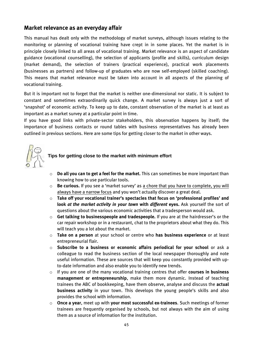### **Market relevance as an everyday affair**

This manual has dealt only with the methodology of market surveys, although issues relating to the monitoring or planning of vocational training have crept in in some places. Yet the market is in principle closely linked to all areas of vocational training. Market relevance is an aspect of candidate guidance (vocational counselling), the selection of applicants (profile and skills), curriculum design (market demand), the selection of trainers (practical experience), practical work placements (businesses as partners) and follow-up of graduates who are now self-employed (skilled coaching). This means that market relevance must be taken into account in all aspects of the planning of vocational training.

But it is important not to forget that the market is neither one-dimensional nor static. It is subject to constant and sometimes extraordinarily quick change. A market survey is always just a sort of 'snapshot' of economic activity. To keep up to date, constant observation of the market is at least as important as a market survey at a particular point in time.

If you have good links with private-sector stakeholders, this observation happens by itself; the importance of business contacts or round tables with business representatives has already been outlined in previous sections. Here are some tips for getting closer to the market in other ways.



# **Tips for getting close to the market with minimum effort**

- o **Do all you can to get a feel for the market.** This can sometimes be more important than knowing how to use particular tools.
- o **Be curious.** If you see a 'market survey' as a chore that you have to complete, you will always have a narrow focus and you won't actually discover a great deal.
- o **Take off your vocational trainer's spectacles that focus on 'professional profiles' and look** *at the market activity in your town* **with** *different* **eyes.** Ask yourself the sort of questions about the various economic activities that a tradesperson would ask.
- o **Get talking to businesspeople and tradespeople.** If you are at the hairdresser's or the car repair workshop or in a restaurant, chat to the proprietors about what they do. This will teach you a lot about the market.
- o **Take on a person** at your school or centre who **has business experience** or at least entrepreneurial flair.
- o **Subscribe to a business or economic affairs periodical for your school** or ask a colleague to read the business section of the local newspaper thoroughly and note useful information. These are sources that will keep you constantly provided with upto-date information and also enable you to identify new trends.
- o If you are one of the many vocational training centres that offer **courses in business management or entrepreneurship**, make them more dynamic. Instead of teaching trainees the ABC of bookkeeping, have them observe, analyse and discuss the **actual business activity** in your town. This develops the young people's skills and also provides the school with information.
- o **Once a year**, meet up with **your most successful ex-trainees**. Such meetings of former trainees are frequently organised by schools, but not always with the aim of using them as a source of information for the institution.